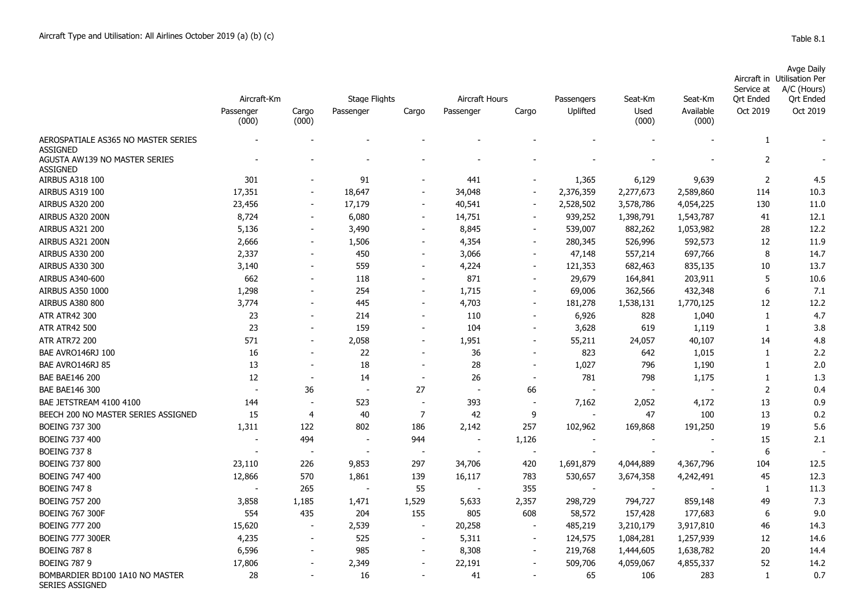BOMBARDIER BD100 1A10 NO MASTER

SERIES ASSIGNED

|                                                        | Aircraft-Km              |                          | <b>Stage Flights</b>     |                          | Aircraft Hours |                          | Passengers               | Seat-Km       | Seat-Km            | Service at<br><b>Qrt Ended</b> | Avge Daily<br>Aircraft in Utilisation Per<br>A/C (Hours)<br><b>Qrt Ended</b> |
|--------------------------------------------------------|--------------------------|--------------------------|--------------------------|--------------------------|----------------|--------------------------|--------------------------|---------------|--------------------|--------------------------------|------------------------------------------------------------------------------|
|                                                        | Passenger<br>(000)       | Cargo<br>(000)           | Passenger                | Cargo                    | Passenger      | Cargo                    | Uplifted                 | Used<br>(000) | Available<br>(000) | Oct 2019                       | Oct 2019                                                                     |
| AEROSPATIALE AS365 NO MASTER SERIES<br><b>ASSIGNED</b> |                          |                          |                          |                          |                |                          |                          |               |                    | 1                              |                                                                              |
| AGUSTA AW139 NO MASTER SERIES<br><b>ASSIGNED</b>       |                          |                          |                          |                          |                |                          |                          |               |                    | $\overline{2}$                 |                                                                              |
| AIRBUS A318 100                                        | 301                      |                          | 91                       |                          | 441            |                          | 1,365                    | 6,129         | 9,639              | 2                              | 4.5                                                                          |
| AIRBUS A319 100                                        | 17,351                   | $\sim$                   | 18,647                   | $\blacksquare$           | 34,048         | $\sim$                   | 2,376,359                | 2,277,673     | 2,589,860          | 114                            | 10.3                                                                         |
| AIRBUS A320 200                                        | 23,456                   | $\blacksquare$           | 17,179                   | $\blacksquare$           | 40,541         | $\sim$                   | 2,528,502                | 3,578,786     | 4,054,225          | 130                            | 11.0                                                                         |
| AIRBUS A320 200N                                       | 8,724                    | $\overline{\phantom{a}}$ | 6,080                    | $\overline{\phantom{a}}$ | 14,751         |                          | 939,252                  | 1,398,791     | 1,543,787          | 41                             | 12.1                                                                         |
| AIRBUS A321 200                                        | 5,136                    | $\overline{\phantom{a}}$ | 3,490                    | $\overline{\phantom{a}}$ | 8,845          | $\sim$                   | 539,007                  | 882,262       | 1,053,982          | 28                             | 12.2                                                                         |
| AIRBUS A321 200N                                       | 2,666                    | $\overline{\phantom{a}}$ | 1,506                    | $\overline{\phantom{a}}$ | 4,354          | $\sim$                   | 280,345                  | 526,996       | 592,573            | 12                             | 11.9                                                                         |
| AIRBUS A330 200                                        | 2,337                    | $\overline{\phantom{a}}$ | 450                      | $\overline{\phantom{a}}$ | 3,066          | $\sim$                   | 47,148                   | 557,214       | 697,766            | 8                              | 14.7                                                                         |
| <b>AIRBUS A330 300</b>                                 | 3,140                    | $\overline{\phantom{a}}$ | 559                      | $\overline{\phantom{a}}$ | 4,224          | $\sim$                   | 121,353                  | 682,463       | 835,135            | 10                             | 13.7                                                                         |
| AIRBUS A340-600                                        | 662                      | $\overline{\phantom{a}}$ | 118                      | $\overline{\phantom{a}}$ | 871            | $\sim$                   | 29,679                   | 164,841       | 203,911            | 5                              | 10.6                                                                         |
| AIRBUS A350 1000                                       | 1,298                    | $\overline{\phantom{a}}$ | 254                      | $\overline{\phantom{a}}$ | 1,715          |                          | 69,006                   | 362,566       | 432,348            | 6                              | 7.1                                                                          |
| <b>AIRBUS A380 800</b>                                 | 3,774                    |                          | 445                      | $\overline{\phantom{a}}$ | 4,703          | $\overline{\phantom{a}}$ | 181,278                  | 1,538,131     | 1,770,125          | 12                             | 12.2                                                                         |
| <b>ATR ATR42 300</b>                                   | 23                       |                          | 214                      |                          | 110            |                          | 6,926                    | 828           | 1,040              | 1                              | 4.7                                                                          |
| <b>ATR ATR42 500</b>                                   | 23                       |                          | 159                      |                          | 104            |                          | 3,628                    | 619           | 1,119              | 1                              | 3.8                                                                          |
| <b>ATR ATR72 200</b>                                   | 571                      |                          | 2,058                    | $\overline{\phantom{a}}$ | 1,951          |                          | 55,211                   | 24,057        | 40,107             | 14                             | 4.8                                                                          |
| BAE AVRO146RJ 100                                      | 16                       |                          | 22                       |                          | 36             |                          | 823                      | 642           | 1,015              | 1                              | 2.2                                                                          |
| BAE AVRO146RJ 85                                       | 13                       |                          | 18                       |                          | 28             |                          | 1,027                    | 796           | 1,190              | 1                              | 2.0                                                                          |
| <b>BAE BAE146 200</b>                                  | 12                       | $\blacksquare$           | 14                       | $\overline{\phantom{a}}$ | 26             |                          | 781                      | 798           | 1,175              | $\mathbf{1}$                   | 1.3                                                                          |
| <b>BAE BAE146 300</b>                                  | $\overline{\phantom{a}}$ | 36                       | $\overline{\phantom{a}}$ | 27                       |                | 66                       |                          | $\sim$        |                    | $\overline{2}$                 | 0.4                                                                          |
| BAE JETSTREAM 4100 4100                                | 144                      | $\overline{\phantom{a}}$ | 523                      | $\overline{\phantom{a}}$ | 393            |                          | 7,162                    | 2,052         | 4,172              | 13                             | 0.9                                                                          |
| BEECH 200 NO MASTER SERIES ASSIGNED                    | 15                       | 4                        | 40                       | $\overline{7}$           | 42             | 9                        |                          | 47            | 100                | 13                             | 0.2                                                                          |
| <b>BOEING 737 300</b>                                  | 1,311                    | 122                      | 802                      | 186                      | 2,142          | 257                      | 102,962                  | 169,868       | 191,250            | 19                             | 5.6                                                                          |
| <b>BOEING 737 400</b>                                  |                          | 494                      | $\overline{\phantom{a}}$ | 944                      |                | 1,126                    | $\overline{\phantom{a}}$ |               |                    | 15                             | 2.1                                                                          |
| <b>BOEING 737 8</b>                                    |                          |                          | $\overline{\phantom{a}}$ |                          |                | $\overline{\phantom{a}}$ |                          |               |                    | 6                              |                                                                              |
| <b>BOEING 737 800</b>                                  | 23,110                   | 226                      | 9,853                    | 297                      | 34,706         | 420                      | 1,691,879                | 4,044,889     | 4,367,796          | 104                            | 12.5                                                                         |
| <b>BOEING 747 400</b>                                  | 12,866                   | 570                      | 1,861                    | 139                      | 16,117         | 783                      | 530,657                  | 3,674,358     | 4,242,491          | 45                             | 12.3                                                                         |
| <b>BOEING 747 8</b>                                    |                          | 265                      | $\overline{\phantom{a}}$ | 55                       |                | 355                      | $\overline{a}$           | $\sim$        |                    | 1                              | 11.3                                                                         |
| <b>BOEING 757 200</b>                                  | 3,858                    | 1,185                    | 1,471                    | 1,529                    | 5,633          | 2,357                    | 298,729                  | 794,727       | 859,148            | 49                             | 7.3                                                                          |
| <b>BOEING 767 300F</b>                                 | 554                      | 435                      | 204                      | 155                      | 805            | 608                      | 58,572                   | 157,428       | 177,683            | 6                              | 9.0                                                                          |
| <b>BOEING 777 200</b>                                  | 15,620                   |                          | 2,539                    |                          | 20,258         |                          | 485,219                  | 3,210,179     | 3,917,810          | 46                             | 14.3                                                                         |
| <b>BOEING 777 300ER</b>                                | 4,235                    | $\overline{\phantom{a}}$ | 525                      | $\overline{\phantom{a}}$ | 5,311          |                          | 124,575                  | 1,084,281     | 1,257,939          | 12                             | 14.6                                                                         |

BOEING 787 8 6,596 985 - 8,308 - 219,768 1,444,605 1,638,782 20 14.4 BOEING 787 9 17,806 - 2,349 - 22,191 - 509,706 4,059,067 4,855,337 52 14.2

28 - 16 - 41 - 65 106 283 1 0.7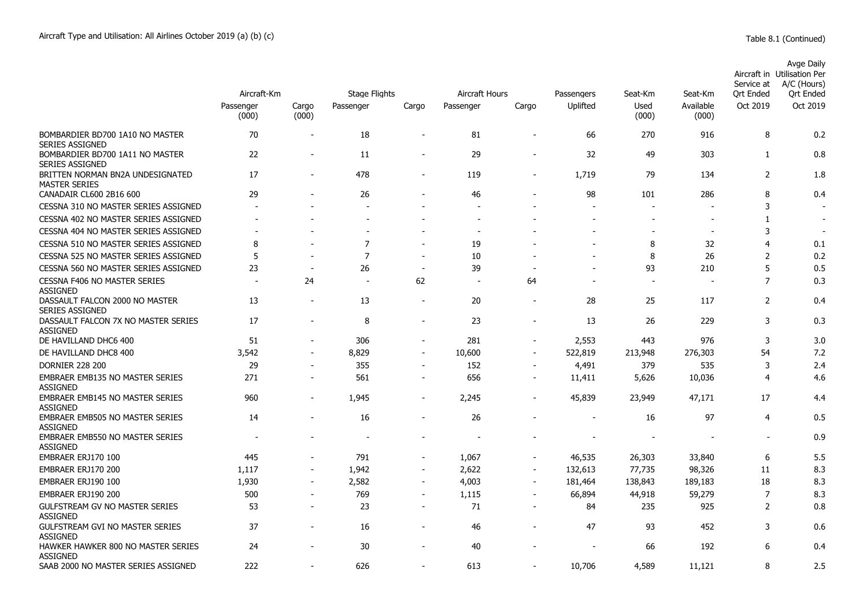|                                                           | Aircraft-Km              |                          | Stage Flights            |                              | Aircraft Hours           |                          | Passengers               | Seat-Km        | Seat-Km                  | Service at<br>Ort Ended | Avge Daily<br>Aircraft in Utilisation Per<br>A/C (Hours)<br>Ort Ended |
|-----------------------------------------------------------|--------------------------|--------------------------|--------------------------|------------------------------|--------------------------|--------------------------|--------------------------|----------------|--------------------------|-------------------------|-----------------------------------------------------------------------|
|                                                           | Passenger<br>(000)       | Cargo<br>(000)           | Passenger                | Cargo                        | Passenger                | Cargo                    | Uplifted                 | Used<br>(000)  | Available<br>(000)       | Oct 2019                | Oct 2019                                                              |
| BOMBARDIER BD700 1A10 NO MASTER<br><b>SERIES ASSIGNED</b> | 70                       | $\overline{\phantom{a}}$ | 18                       | $\overline{\phantom{m}}$     | 81                       | $\blacksquare$           | 66                       | 270            | 916                      | 8                       | 0.2                                                                   |
| BOMBARDIER BD700 1A11 NO MASTER<br><b>SERIES ASSIGNED</b> | 22                       |                          | 11                       | $\overline{a}$               | 29                       |                          | 32                       | 49             | 303                      | $\mathbf{1}$            | 0.8                                                                   |
| BRITTEN NORMAN BN2A UNDESIGNATED<br><b>MASTER SERIES</b>  | 17                       |                          | 478                      | $\overline{\phantom{0}}$     | 119                      |                          | 1,719                    | 79             | 134                      | $\overline{2}$          | 1.8                                                                   |
| CANADAIR CL600 2B16 600                                   | 29                       |                          | 26                       | L.                           | 46                       |                          | 98                       | 101            | 286                      | 8                       | 0.4                                                                   |
| CESSNA 310 NO MASTER SERIES ASSIGNED                      |                          |                          |                          |                              |                          |                          |                          |                |                          | 3                       |                                                                       |
| CESSNA 402 NO MASTER SERIES ASSIGNED                      |                          |                          | $\overline{\phantom{a}}$ |                              | $\overline{\phantom{a}}$ |                          | $\overline{\phantom{a}}$ |                | $\overline{\phantom{0}}$ | 1                       | $\overline{\phantom{a}}$                                              |
| CESSNA 404 NO MASTER SERIES ASSIGNED                      |                          |                          |                          |                              | $\overline{\phantom{a}}$ |                          |                          |                |                          | 3                       |                                                                       |
| CESSNA 510 NO MASTER SERIES ASSIGNED                      | 8                        |                          | $\overline{7}$           |                              | 19                       |                          |                          | 8              | 32                       | 4                       | 0.1                                                                   |
| CESSNA 525 NO MASTER SERIES ASSIGNED                      | 5                        |                          | $\overline{7}$           | $\overline{\phantom{a}}$     | 10                       |                          |                          | 8              | 26                       | $\overline{2}$          | 0.2                                                                   |
| CESSNA 560 NO MASTER SERIES ASSIGNED                      | 23                       | $\overline{\phantom{a}}$ | 26                       | $\overline{\phantom{a}}$     | 39                       |                          | $\overline{\phantom{a}}$ | 93             | 210                      | 5                       | 0.5                                                                   |
| <b>CESSNA F406 NO MASTER SERIES</b><br><b>ASSIGNED</b>    | $\overline{\phantom{a}}$ | 24                       | $\overline{\phantom{a}}$ | 62                           | $\overline{\phantom{a}}$ | 64                       |                          | $\overline{a}$ |                          | $\overline{7}$          | 0.3                                                                   |
| DASSAULT FALCON 2000 NO MASTER<br><b>SERIES ASSIGNED</b>  | 13                       | $\overline{\phantom{a}}$ | 13                       | $\overline{\phantom{a}}$     | 20                       | $\overline{\phantom{a}}$ | 28                       | 25             | 117                      | $\overline{2}$          | 0.4                                                                   |
| DASSAULT FALCON 7X NO MASTER SERIES<br><b>ASSIGNED</b>    | 17                       | $\overline{a}$           | 8                        | $\overline{\phantom{m}}$     | 23                       | $\blacksquare$           | 13                       | 26             | 229                      | 3                       | 0.3                                                                   |
| DE HAVILLAND DHC6 400                                     | 51                       | $\sim$                   | 306                      | $\blacksquare$               | 281                      | $\blacksquare$           | 2,553                    | 443            | 976                      | 3                       | 3.0                                                                   |
| DE HAVILLAND DHC8 400                                     | 3,542                    |                          | 8,829                    | $\overline{a}$               | 10,600                   | $\overline{\phantom{a}}$ | 522,819                  | 213,948        | 276,303                  | 54                      | 7.2                                                                   |
| <b>DORNIER 228 200</b>                                    | 29                       |                          | 355                      | $\overline{\phantom{a}}$     | 152                      |                          | 4,491                    | 379            | 535                      | 3                       | 2.4                                                                   |
| <b>EMBRAER EMB135 NO MASTER SERIES</b><br><b>ASSIGNED</b> | 271                      | $\blacksquare$           | 561                      | $\overline{\phantom{a}}$     | 656                      | $\blacksquare$           | 11,411                   | 5,626          | 10,036                   | $\overline{4}$          | 4.6                                                                   |
| <b>EMBRAER EMB145 NO MASTER SERIES</b><br><b>ASSIGNED</b> | 960                      | $\overline{\phantom{a}}$ | 1,945                    | $\overline{a}$               | 2,245                    |                          | 45,839                   | 23,949         | 47,171                   | 17                      | 4.4                                                                   |
| <b>EMBRAER EMB505 NO MASTER SERIES</b><br>ASSIGNED        | 14                       | $\overline{\phantom{a}}$ | 16                       | $\overline{\phantom{0}}$     | 26                       | ۰                        | $\sim$                   | 16             | 97                       | $\overline{4}$          | 0.5                                                                   |
| <b>EMBRAER EMB550 NO MASTER SERIES</b><br><b>ASSIGNED</b> |                          |                          |                          |                              |                          |                          |                          |                |                          |                         | 0.9                                                                   |
| EMBRAER ERJ170 100                                        | 445                      |                          | 791                      | $\overline{\phantom{a}}$     | 1,067                    | $\blacksquare$           | 46,535                   | 26,303         | 33,840                   | 6                       | 5.5                                                                   |
| EMBRAER ERJ170 200                                        | 1,117                    | $\blacksquare$           | 1,942                    | $\overline{\phantom{a}}$     | 2,622                    | $\overline{\phantom{a}}$ | 132,613                  | 77,735         | 98,326                   | 11                      | 8.3                                                                   |
| EMBRAER ERJ190 100                                        | 1,930                    | $\blacksquare$           | 2,582                    | $\overline{\phantom{a}}$     | 4,003                    | $\overline{\phantom{m}}$ | 181,464                  | 138,843        | 189,183                  | 18                      | 8.3                                                                   |
| EMBRAER ERJ190 200                                        | 500                      | $\overline{a}$           | 769                      | $\blacksquare$               | 1,115                    | $\blacksquare$           | 66,894                   | 44,918         | 59,279                   | $\overline{7}$          | 8.3                                                                   |
| <b>GULFSTREAM GV NO MASTER SERIES</b><br><b>ASSIGNED</b>  | 53                       | $\overline{\phantom{a}}$ | 23                       | $\blacksquare$               | 71                       | $\blacksquare$           | 84                       | 235            | 925                      | 2                       | 0.8                                                                   |
| <b>GULFSTREAM GVI NO MASTER SERIES</b><br><b>ASSIGNED</b> | 37                       |                          | 16                       | $\qquad \qquad \blacksquare$ | 46                       |                          | 47                       | 93             | 452                      | 3                       | 0.6                                                                   |
| HAWKER HAWKER 800 NO MASTER SERIES<br><b>ASSIGNED</b>     | 24                       |                          | 30                       |                              | 40                       |                          |                          | 66             | 192                      | 6                       | 0.4                                                                   |
| SAAB 2000 NO MASTER SERIES ASSIGNED                       | 222                      |                          | 626                      |                              | 613                      |                          | 10,706                   | 4,589          | 11.121                   | 8                       | 2.5                                                                   |